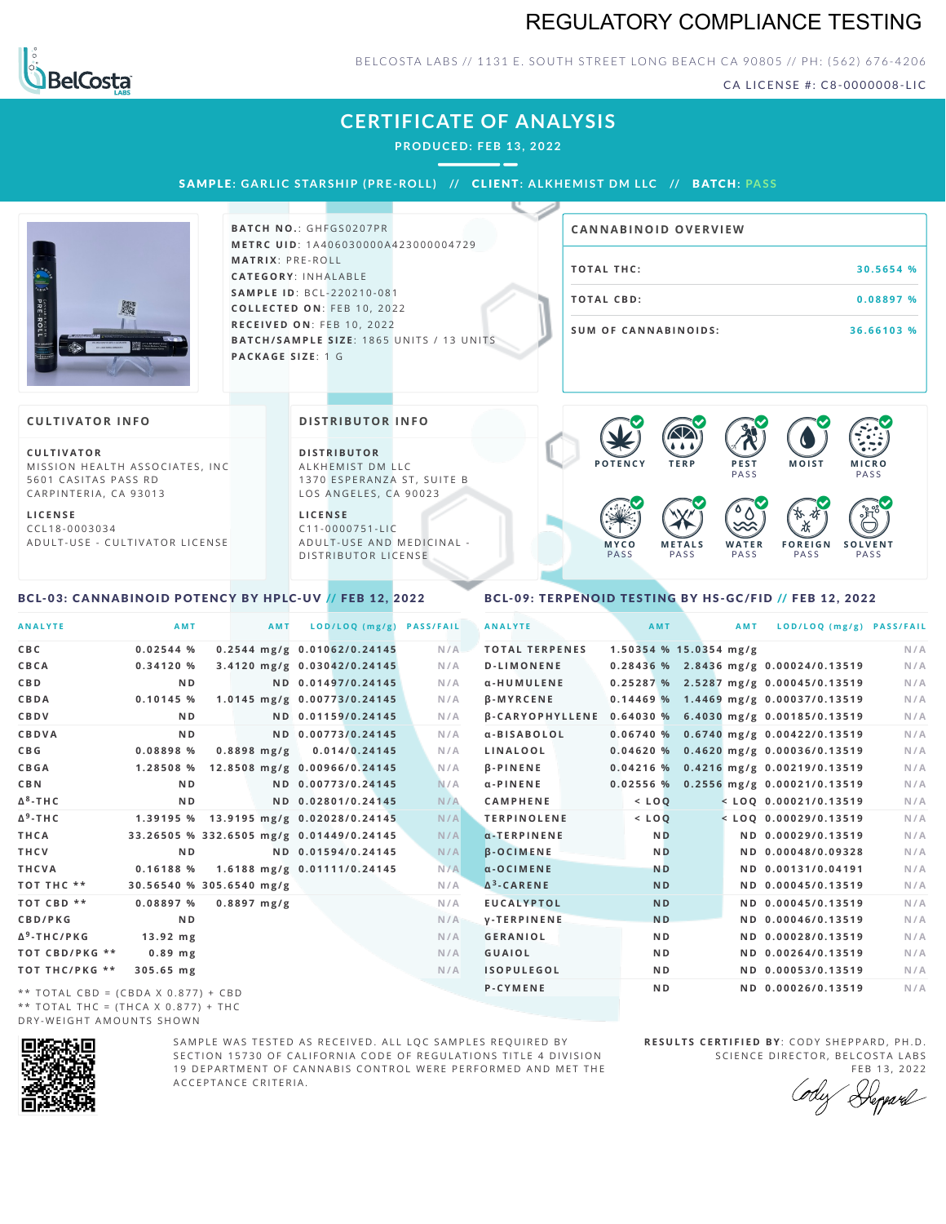# REGULATORY COMPLIANCE TESTING



### BELCOSTA LABS // 1131 E. SOUTH STREET LONG BEACH CA 90805 // PH: (562) 676-4206

CA LICENSE #: C8-0000008-LIC

**M O IS T M IC R O**

# **CERTIFICATE OF ANALYSIS**

**PRODUCED: F EB 13, 2022**

SAMPLE: GARLIC STARSHIP (PRE-ROLL) // CLIENT: ALKHEMIST DM LLC // BATCH: PASS



**BATCH NO.: GHFGS0207PR M E T R C U ID** :1 A 4 0 6 0 3 0 0 0 0 A 4 2 3 0 0 0 0 0 4 7 2 9 **M AT R I X** :P R E - R O L L **CAT E G O R Y** : I N H A L A B L E **SA M P L E I D** :B C L - 2 2 0 2 1 0 - 0 8 1 **C O L L E C T E D O N** :F E B 1 0 , 2 0 2 2 **R E C E I V E D O N** : F E B 1 0 , 2 0 2 2 **BATCH/SAMPLE SIZE: 1865 UNITS / 13 UNITS PAC KA G E S I Z E** : 1 G

| <b>CANNABINOID OVERVIEW</b> |            |
|-----------------------------|------------|
| TOTAL THC:                  | 30.5654 %  |
| TOTAL CBD:                  | 0.08897 %  |
| SUM OF CANNABINOIDS:        | 36.66103 % |

 $\bullet$  60 60 60 60

#### **CULTIVATOR I N FO**

**C U L T I VAT O R** MISSION HEALTH ASSOCIATES, INC 5601 CASITAS PASS RD CARPINTERIA, CA 93013

**L I C E N S E** C C L 1 8 - 0 0 0 3 0 3 4 A D U L T - U S E - C U L T I V A T O R L I C E N S E **DI STRIBUTOR I N FO**

**D I S T R IB U T O R** ALKHEMIST DM LLC 1370 ESPERANZA ST, SUITE B LOS ANGELES, CA 90023

**L I C E N S E**  $C11 - 0000751 - L$ A D U L T - U S E A N D M E D I C I N A L -DISTRIBUTOR LICENSE

#### **PASS PASS M Y C O** PA S S **M E T A L S** PA S S **W A T E R** PA S S **F O R E I G N PASS S O L V E N T** PA S S  $\bullet$  6.0 6.0 6.0

 $P$  **PEST** 

#### <span id="page-0-0"></span>BCL-03: CANNABINOID POTENCY BY HPLC-UV // FEB 12, 2022

#### <span id="page-0-1"></span>BCL-09: TERPENOID TESTING BY HS-GC/FID // FEB 12, 2022

| <b>ANALYTE</b>                      | AMT                                      | <b>AMT</b>                   | LOD/LOQ (mg/g)     | <b>PASS/FAIL</b> | <b>ANALYTE</b>        |          | AMT            |                          | <b>AMT</b> | LOD/LOQ (mg/g) PASS/FAIL                              |     |
|-------------------------------------|------------------------------------------|------------------------------|--------------------|------------------|-----------------------|----------|----------------|--------------------------|------------|-------------------------------------------------------|-----|
| C B C                               | 0.02544%                                 | 0.2544 mg/g 0.01062/0.24145  |                    | N/A              | <b>TOTAL TERPENES</b> |          |                | $1.50354$ % 15.0354 mg/g |            |                                                       | N/A |
| CBCA                                | 0.34120%                                 | 3.4120 mg/g 0.03042/0.24145  |                    | N/A              | <b>D-LIMONENE</b>     |          |                |                          |            | 0.28436 % 2.8436 mg/g 0.00024/0.13519                 | N/A |
| C B D                               | N <sub>D</sub>                           |                              | ND 0.01497/0.24145 | N/A              | α-HUMULENE            |          |                |                          |            | 0.25287 % 2.5287 mg/g 0.00045/0.13519                 | N/A |
| CBDA                                | $0.10145$ %                              | 1.0145 mg/g 0.00773/0.24145  |                    | N/A              | <b>B-MYRCENE</b>      |          |                |                          |            | 0.14469 % 1.4469 mg/g 0.00037/0.13519                 | N/A |
| CBDV                                | N <sub>D</sub>                           |                              | ND 0.01159/0.24145 | N/A              |                       |          |                |                          |            | β-CARYOPHYLLENE 0.64030 % 6.4030 mg/g 0.00185/0.13519 | N/A |
| CBDVA                               | N <sub>D</sub>                           |                              | ND 0.00773/0.24145 | N/A              | α-BISABOLOL           |          |                |                          |            | $0.06740%$ 0.6740 mg/g 0.00422/0.13519                | N/A |
| C B G                               | 0.08898 %                                | $0.8898$ mg/g                | 0.014/0.24145      | N/A              | LINALOOL              |          |                |                          |            | 0.04620 % 0.4620 mg/g 0.00036/0.13519                 | N/A |
| <b>CBGA</b>                         | 1.28508 %                                | 12.8508 mg/g 0.00966/0.24145 |                    | N/A              | <b>B-PINENE</b>       |          |                |                          |            | 0.04216 % 0.4216 mg/g 0.00219/0.13519                 | N/A |
| C B N                               | N <sub>D</sub>                           |                              | ND 0.00773/0.24145 | N/A              | $\alpha$ -PINENE      | 0.02556% |                |                          |            | 0.2556 mg/g 0.00021/0.13519                           | N/A |
| Δ <sup>8</sup> -ΤΗ C                | N <sub>D</sub>                           |                              | ND 0.02801/0.24145 | N/A              | <b>CAMPHENE</b>       |          | $<$ LOQ        |                          |            | $<$ LOQ 0.00021/0.13519                               | N/A |
| Δ <sup>9</sup> -ΤΗ C                | 1.39195 % 13.9195 mg/g 0.02028/0.24145   |                              |                    | N/A              | <b>TERPINOLENE</b>    |          | $<$ $LOQ$      |                          |            | $<$ LOO 0.00029/0.13519                               | N/A |
| THCA                                | 33.26505 % 332.6505 mg/g 0.01449/0.24145 |                              |                    | N/A              | $\alpha$ -TERPINENE   |          | N <sub>D</sub> |                          |            | ND 0.00029/0.13519                                    | N/A |
| THCV                                | N <sub>D</sub>                           |                              | ND 0.01594/0.24145 | N/A              | <b>B-OCIMENE</b>      |          | <b>ND</b>      |                          |            | ND 0.00048/0.09328                                    | N/A |
| THCVA                               | 0.16188 %                                | 1.6188 mg/g 0.01111/0.24145  |                    | N/A              | $\alpha$ -OCIMENE     |          | <b>ND</b>      |                          |            | ND 0.00131/0.04191                                    | N/A |
| тот тнс **                          | 30.56540 % 305.6540 mg/g                 |                              |                    | N/A              | $\Delta^3$ -CARENE    |          | <b>ND</b>      |                          |            | ND 0.00045/0.13519                                    | N/A |
| TOT CBD **                          | 0.08897%                                 | $0.8897$ mg/g                |                    | N/A              | <b>EUCALYPTOL</b>     |          | <b>ND</b>      |                          |            | ND 0.00045/0.13519                                    | N/A |
| <b>CBD/PKG</b>                      | N <sub>D</sub>                           |                              |                    | N/A              | <b>V-TERPINENE</b>    |          | <b>ND</b>      |                          |            | ND 0.00046/0.13519                                    | N/A |
| Δ <sup>9</sup> -ΤΗC/ΡΚG             | $13.92$ mg                               |                              |                    | N/A              | <b>GERANIOL</b>       |          | N <sub>D</sub> |                          |            | ND 0.00028/0.13519                                    | N/A |
| ТОТ СВD/РКG **                      | $0.89$ mg                                |                              |                    | N/A              | <b>GUAIOL</b>         |          | N <sub>D</sub> |                          |            | ND 0.00264/0.13519                                    | N/A |
| ТОТ ТНС/РКG **                      | 305.65 mg                                |                              |                    | N/A              | <b>ISOPULEGOL</b>     |          | N <sub>D</sub> |                          |            | ND 0.00053/0.13519                                    | N/A |
| ** TOTAL CRD = (CRDA X 0 877) + CRD |                                          |                              |                    |                  | <b>P-CYMENE</b>       |          | N <sub>D</sub> |                          |            | ND 0.00026/0.13519                                    | N/A |

\* \* T O T A L C B D = ( C B D A X 0 . 8 7 7 ) + C B D \*\* TOTAL THC =  $(THCA X 0.877) + THC$ DRY-WEIGHT AMOUNTS SHOWN



SAMPLE WAS TESTED AS RECEIVED. ALL LOC SAMPLES REOUIRED BY SECTION 15730 OF CALIFORNIA CODE OF REGULATIONS TITLE 4 DIVISION 19 DEPARTMENT OF CANNABIS CONTROL WERE PERFORMED AND MET THE A C C E P T A N C E C R I T E R I A.

**RESULTS CERTIFIED BY: CODY SHEPPARD, PH.D.** SCIENCE DIRECTOR, BELCOSTA LABS

FEB 13, 2022<br>Repard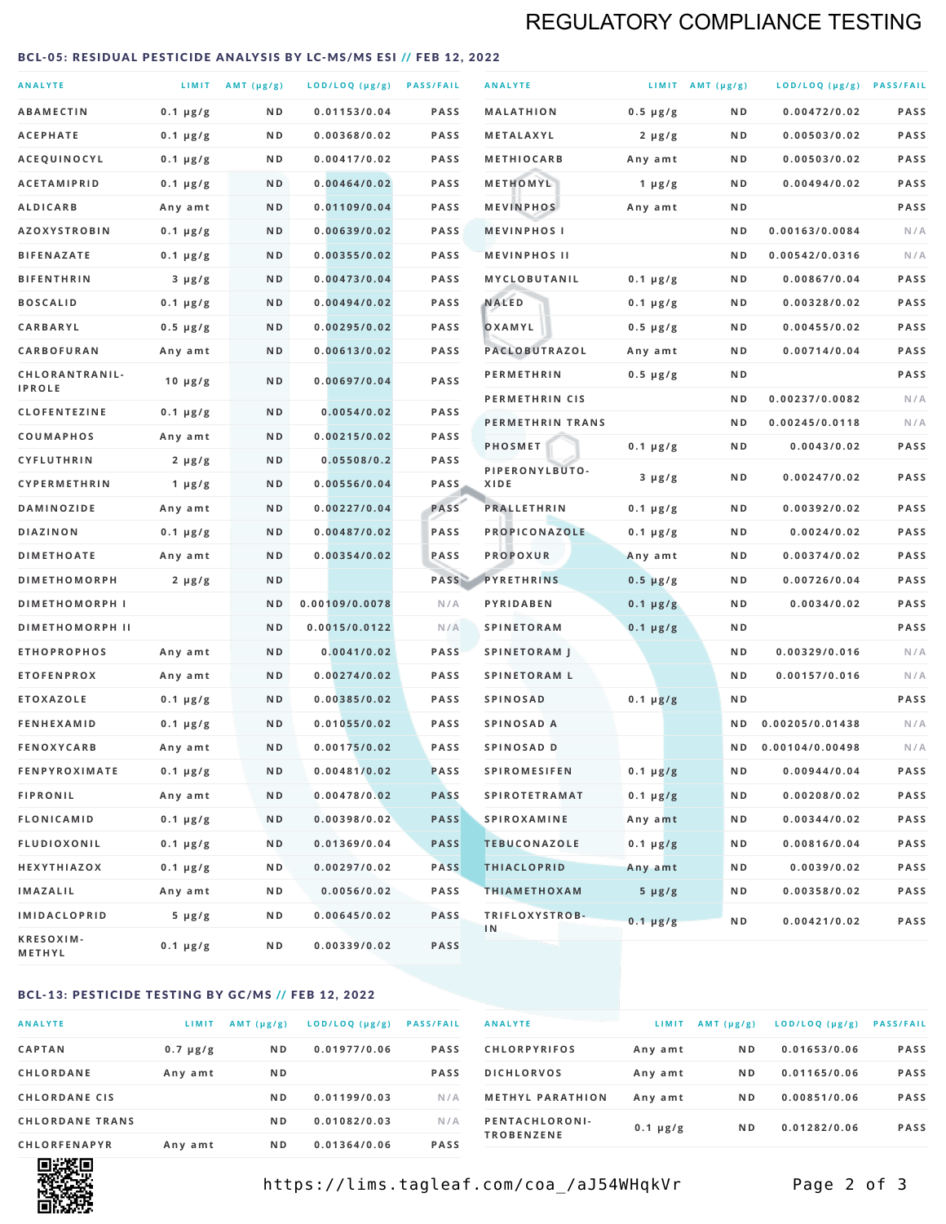# REGULATORY COMPLIANCE TESTING

#### <span id="page-1-0"></span>BCL-05: RESIDUAL PESTICIDE ANALYSIS BY LC-MS/MS ESI // FEB 12, 2022

| <b>ANALYTE</b>                  |               | LIMIT AMT (µg/g) | LOD/LOQ (µg/g) PASS/FAIL |             | <b>ANALYTE</b>         |               | LIMIT AMT $(\mu g/g)$ | LOD/LOQ (µg/g) PASS/FAIL |      |
|---------------------------------|---------------|------------------|--------------------------|-------------|------------------------|---------------|-----------------------|--------------------------|------|
| <b>ABAMECTIN</b>                | $0.1 \mu g/g$ | N D              | 0.01153/0.04             | <b>PASS</b> | <b>MALATHION</b>       | $0.5 \mu g/g$ | N D                   | 0.00472/0.02             | PASS |
| <b>ACEPHATE</b>                 | $0.1 \mu g/g$ | ND               | 0.00368/0.02             | <b>PASS</b> | METALAXYL              | $2 \mu g/g$   | N D                   | 0.00503/0.02             | PASS |
| ACEQUINOCYL                     | $0.1 \mu g/g$ | N D              | 0.00417/0.02             | <b>PASS</b> | <b>METHIOCARB</b>      | Any amt       | N D                   | 0.00503/0.02             | PASS |
| <b>ACETAMIPRID</b>              | $0.1 \mu g/g$ | N D              | 0.00464/0.02             | <b>PASS</b> | METHOMYL               | 1 $\mu$ g/g   | N D                   | 0.00494/0.02             | PASS |
| <b>ALDICARB</b>                 | Any amt       | N D              | 0.01109/0.04             | <b>PASS</b> | <b>MEVINPHOS</b>       | Any amt       | N D                   |                          | PASS |
| <b>AZOXYSTROBIN</b>             | $0.1 \mu g/g$ | N D              | 0.00639/0.02             | <b>PASS</b> | <b>MEVINPHOSI</b>      |               | N D                   | 0.00163/0.0084           | N/A  |
| <b>BIFENAZATE</b>               | $0.1 \mu g/g$ | N D              | 0.00355/0.02             | <b>PASS</b> | <b>MEVINPHOS II</b>    |               | ND.                   | 0.00542/0.0316           | N/A  |
| <b>BIFENTHRIN</b>               | $3 \mu g/g$   | N D              | 0.00473/0.04             | <b>PASS</b> | <b>MYCLOBUTANIL</b>    | $0.1 \mu g/g$ | N D                   | 0.00867/0.04             | PASS |
| <b>BOSCALID</b>                 | $0.1 \mu g/g$ | N D              | 0.00494/0.02             | <b>PASS</b> | <b>NALED</b>           | $0.1 \mu g/g$ | N D                   | 0.00328/0.02             | PASS |
| CARBARYL                        | $0.5 \mu g/g$ | N D              | 0.00295/0.02             | <b>PASS</b> | OXAMYL                 | $0.5 \mu g/g$ | N D                   | 0.00455/0.02             | PASS |
| CARBOFURAN                      | Any amt       | N D              | 0.00613/0.02             | <b>PASS</b> | PACLOBUTRAZOL          | Any amt       | N D                   | 0.00714/0.04             | PASS |
| CHLORANTRANIL-<br><b>IPROLE</b> | $10 \mu g/g$  | N D              | 0.00697/0.04             | PASS        | <b>PERMETHRIN</b>      | $0.5 \mu g/g$ | N D                   |                          | PASS |
| <b>CLOFENTEZINE</b>             | $0.1 \mu g/g$ | N D              | 0.0054/0.02              | <b>PASS</b> | PERMETHRIN CIS         |               | N D                   | 0.00237/0.0082           | N/A  |
| <b>COUMAPHOS</b>                | Any amt       | N D              | 0.00215/0.02             | <b>PASS</b> | PERMETHRIN TRANS       |               | N D                   | 0.00245/0.0118           | N/A  |
| <b>CYFLUTHRIN</b>               | $2 \mu g/g$   | N D              | 0.05508/0.2              | <b>PASS</b> | <b>PHOSMET</b>         | $0.1 \mu g/g$ | N D                   | 0.0043/0.02              | PASS |
| CYPERMETHRIN                    | 1 $\mu$ g/g   | N D              | 0.00556/0.04             | <b>PASS</b> | PIPERONYLBUTO-<br>XIDE | $3 \mu g/g$   | N D                   | 0.00247/0.02             | PASS |
| <b>DAMINOZIDE</b>               | Any amt       | N D              | 0.00227/0.04             | PASS        | <b>PRALLETHRIN</b>     | $0.1 \mu g/g$ | N D                   | 0.00392/0.02             | PASS |
| <b>DIAZINON</b>                 | $0.1 \mu g/g$ | N D              | 0.00487/0.02             | <b>PASS</b> | PROPICONAZOLE          | $0.1 \mu g/g$ | N D                   | 0.0024/0.02              | PASS |
| <b>DIMETHOATE</b>               | Any amt       | N D              | 0.00354/0.02             | PASS        | <b>PROPOXUR</b>        | Any amt       | N D                   | 0.00374/0.02             | PASS |
| <b>DIMETHOMORPH</b>             | $2 \mu g/g$   | ND               |                          | PASS        | <b>PYRETHRINS</b>      | $0.5 \mu g/g$ | N D                   | 0.00726/0.04             | PASS |
| <b>DIMETHOMORPH I</b>           |               | ND               | 0.00109/0.0078           | N/A         | PYRIDABEN              | $0.1 \mu g/g$ | N D                   | 0.0034/0.02              | PASS |
| <b>DIMETHOMORPH II</b>          |               | ND               | 0.0015/0.0122            | N/A         | <b>SPINETORAM</b>      | $0.1 \mu g/g$ | N D                   |                          | PASS |
| <b>ETHOPROPHOS</b>              | Any amt       | N D              | 0.0041/0.02              | <b>PASS</b> | <b>SPINETORAM J</b>    |               | N D                   | 0.00329/0.016            | N/A  |
| <b>ETOFENPROX</b>               | Any amt       | N D              | 0.00274/0.02             | PASS        | <b>SPINETORAM L</b>    |               | N D                   | 0.00157/0.016            | N/A  |
| <b>ETOXAZOLE</b>                | $0.1 \mu g/g$ | ND               | 0.00385/0.02             | <b>PASS</b> | <b>SPINOSAD</b>        | $0.1 \mu g/g$ | N D                   |                          | PASS |
| <b>FENHEXAMID</b>               | $0.1 \mu g/g$ | N D              | 0.01055/0.02             | <b>PASS</b> | SPINOSAD A             |               | N D                   | 0.00205/0.01438          | N/A  |
| <b>FENOXYCARB</b>               | Any amt       | N D              | 0.00175/0.02             | <b>PASS</b> | SPINOSAD D             |               | N <sub>D</sub>        | 0.00104/0.00498          | N/A  |
| <b>FENPYROXIMATE</b>            | $0.1 \mu g/g$ | N D              | 0.00481/0.02             | <b>PASS</b> | <b>SPIROMESIFEN</b>    | $0.1 \mu g/g$ | N D                   | 0.00944/0.04             | PASS |
| <b>FIPRONIL</b>                 | Any amt       | N D              | 0.00478/0.02             | <b>PASS</b> | <b>SPIROTETRAMAT</b>   | $0.1 \mu g/g$ | N D                   | 0.00208/0.02             | PASS |
| <b>FLONICAMID</b>               | $0.1 \mu g/g$ | N D              | 0.00398/0.02             | <b>PASS</b> | <b>SPIROXAMINE</b>     | Any amt       | N D                   | 0.00344/0.02             | PASS |
| FLUDIOXONIL                     | $0.1 \mu g/g$ | N D              | 0.01369/0.04             | <b>PASS</b> | <b>TEBUCONAZOLE</b>    | $0.1 \mu g/g$ | N D                   | 0.00816/0.04             | PASS |
| HEXYTHIAZOX                     | 0.1 µg/g      | N D              | 0.00297/0.02             | <b>PASS</b> | <b>THIACLOPRID</b>     | Any amt       | N D                   | 0.0039/0.02              | PASS |
| <b>IMAZALIL</b>                 | Any amt       | N D              | 0.0056/0.02              | PASS        | <b>THIAMETHOXAM</b>    | $5 \mu g/g$   | N D                   | 0.00358/0.02             | PASS |
| <b>IMIDACLOPRID</b>             | $5 \mu g/g$   | ND               | 0.00645/0.02             | <b>PASS</b> | TRIFLOXYSTROB-<br>1N   | $0.1 \mu g/g$ | N D                   | 0.00421/0.02             | PASS |
| KRESOXIM-<br>METHYL             | $0.1 \mu g/g$ | N D              | 0.00339/0.02             | <b>PASS</b> |                        |               |                       |                          |      |

#### BCL-13: PESTICIDE TESTING BY GC/MS // FEB 12, 2022

| <b>ANALYTE</b>         | LIMIT         | $AMT$ ( $\mu g/g$ ) | LOD/LOQ (µg/g) | <b>PASS/FAIL</b> |
|------------------------|---------------|---------------------|----------------|------------------|
| <b>CAPTAN</b>          | $0.7 \mu g/g$ | N <sub>D</sub>      | 0.01977/0.06   | <b>PASS</b>      |
| CHLORDANE              | Any amt       | N <sub>D</sub>      |                | <b>PASS</b>      |
| <b>CHLORDANE CIS</b>   |               | N <sub>D</sub>      | 0.01199/0.03   | N/A              |
| <b>CHLORDANE TRANS</b> |               | N <sub>D</sub>      | 0.01082/0.03   | N/A              |
| <b>CHLORFENAPYR</b>    | Any amt       | N <sub>D</sub>      | 0.01364/0.06   | <b>PASS</b>      |

| <b>ANALYTE</b>                      | LIMIT         | AMT (µg/g)     | LOD/LOQ (µg/g) | <b>PASS/FAIL</b> |
|-------------------------------------|---------------|----------------|----------------|------------------|
| <b>CHLORPYRIFOS</b>                 | Any amt       | N <sub>D</sub> | 0.01653/0.06   | <b>PASS</b>      |
| <b>DICHLORVOS</b>                   | Any amt       | N <sub>D</sub> | 0.01165/0.06   | <b>PASS</b>      |
| <b>METHYL PARATHION</b>             | Any amt       | N <sub>D</sub> | 0.00851/0.06   | <b>PASS</b>      |
| PENTACHLORONI-<br><b>TROBENZENE</b> | $0.1 \mu g/g$ | N <sub>D</sub> | 0.01282/0.06   | <b>PASS</b>      |